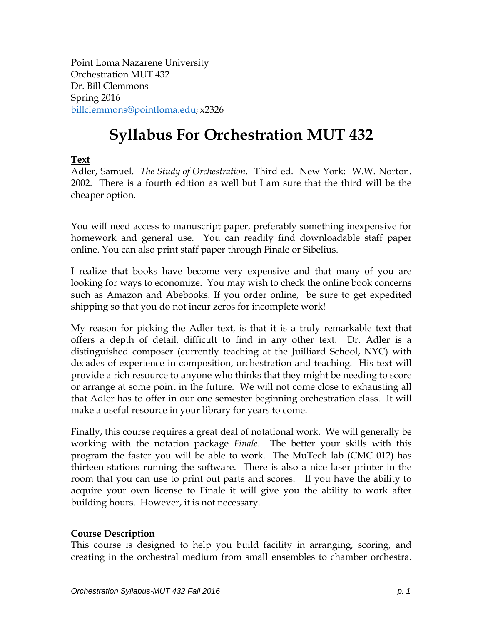Point Loma Nazarene University Orchestration MUT 432 Dr. Bill Clemmons Spring 2016 [billclemmons@pointloma.edu;](mailto:billclemmons@pointloma.edu) x2326

# **Syllabus For Orchestration MUT 432**

# **Text**

Adler, Samuel. *The Study of Orchestration*. Third ed. New York: W.W. Norton. 2002. There is a fourth edition as well but I am sure that the third will be the cheaper option.

You will need access to manuscript paper, preferably something inexpensive for homework and general use. You can readily find downloadable staff paper online. You can also print staff paper through Finale or Sibelius.

I realize that books have become very expensive and that many of you are looking for ways to economize. You may wish to check the online book concerns such as Amazon and Abebooks. If you order online, be sure to get expedited shipping so that you do not incur zeros for incomplete work!

My reason for picking the Adler text, is that it is a truly remarkable text that offers a depth of detail, difficult to find in any other text. Dr. Adler is a distinguished composer (currently teaching at the Juilliard School, NYC) with decades of experience in composition, orchestration and teaching. His text will provide a rich resource to anyone who thinks that they might be needing to score or arrange at some point in the future. We will not come close to exhausting all that Adler has to offer in our one semester beginning orchestration class. It will make a useful resource in your library for years to come.

Finally, this course requires a great deal of notational work. We will generally be working with the notation package *Finale*. The better your skills with this program the faster you will be able to work. The MuTech lab (CMC 012) has thirteen stations running the software. There is also a nice laser printer in the room that you can use to print out parts and scores. If you have the ability to acquire your own license to Finale it will give you the ability to work after building hours. However, it is not necessary.

# **Course Description**

This course is designed to help you build facility in arranging, scoring, and creating in the orchestral medium from small ensembles to chamber orchestra.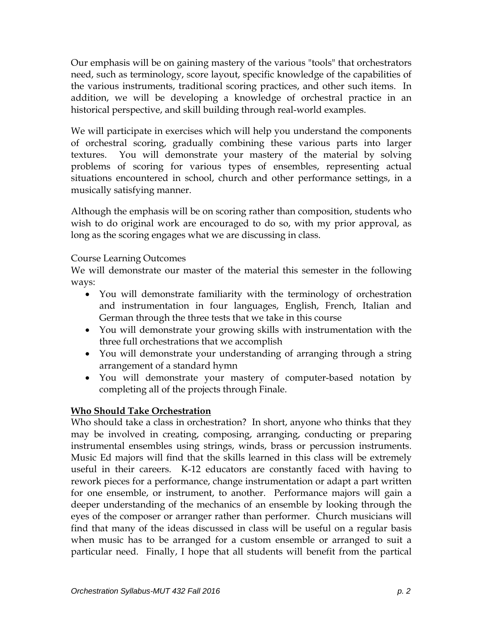Our emphasis will be on gaining mastery of the various "tools" that orchestrators need, such as terminology, score layout, specific knowledge of the capabilities of the various instruments, traditional scoring practices, and other such items. In addition, we will be developing a knowledge of orchestral practice in an historical perspective, and skill building through real-world examples.

We will participate in exercises which will help you understand the components of orchestral scoring, gradually combining these various parts into larger textures. You will demonstrate your mastery of the material by solving problems of scoring for various types of ensembles, representing actual situations encountered in school, church and other performance settings, in a musically satisfying manner.

Although the emphasis will be on scoring rather than composition, students who wish to do original work are encouraged to do so, with my prior approval, as long as the scoring engages what we are discussing in class.

# Course Learning Outcomes

We will demonstrate our master of the material this semester in the following ways:

- You will demonstrate familiarity with the terminology of orchestration and instrumentation in four languages, English, French, Italian and German through the three tests that we take in this course
- You will demonstrate your growing skills with instrumentation with the three full orchestrations that we accomplish
- You will demonstrate your understanding of arranging through a string arrangement of a standard hymn
- You will demonstrate your mastery of computer-based notation by completing all of the projects through Finale.

# **Who Should Take Orchestration**

Who should take a class in orchestration? In short, anyone who thinks that they may be involved in creating, composing, arranging, conducting or preparing instrumental ensembles using strings, winds, brass or percussion instruments. Music Ed majors will find that the skills learned in this class will be extremely useful in their careers. K-12 educators are constantly faced with having to rework pieces for a performance, change instrumentation or adapt a part written for one ensemble, or instrument, to another. Performance majors will gain a deeper understanding of the mechanics of an ensemble by looking through the eyes of the composer or arranger rather than performer. Church musicians will find that many of the ideas discussed in class will be useful on a regular basis when music has to be arranged for a custom ensemble or arranged to suit a particular need. Finally, I hope that all students will benefit from the partical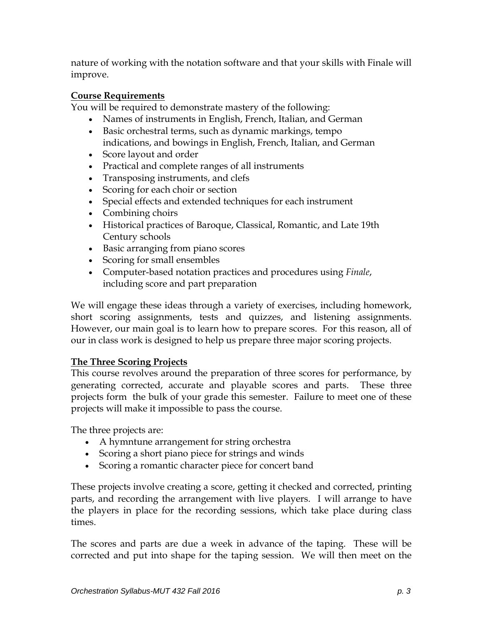nature of working with the notation software and that your skills with Finale will improve.

# **Course Requirements**

You will be required to demonstrate mastery of the following:

- Names of instruments in English, French, Italian, and German
- Basic orchestral terms, such as dynamic markings, tempo indications, and bowings in English, French, Italian, and German
- Score layout and order
- Practical and complete ranges of all instruments
- Transposing instruments, and clefs
- Scoring for each choir or section
- Special effects and extended techniques for each instrument
- Combining choirs
- Historical practices of Baroque, Classical, Romantic, and Late 19th Century schools
- Basic arranging from piano scores
- Scoring for small ensembles
- Computer-based notation practices and procedures using *Finale*, including score and part preparation

We will engage these ideas through a variety of exercises, including homework, short scoring assignments, tests and quizzes, and listening assignments. However, our main goal is to learn how to prepare scores. For this reason, all of our in class work is designed to help us prepare three major scoring projects.

# **The Three Scoring Projects**

This course revolves around the preparation of three scores for performance, by generating corrected, accurate and playable scores and parts. These three projects form the bulk of your grade this semester. Failure to meet one of these projects will make it impossible to pass the course.

The three projects are:

- A hymntune arrangement for string orchestra
- Scoring a short piano piece for strings and winds
- Scoring a romantic character piece for concert band

These projects involve creating a score, getting it checked and corrected, printing parts, and recording the arrangement with live players. I will arrange to have the players in place for the recording sessions, which take place during class times.

The scores and parts are due a week in advance of the taping. These will be corrected and put into shape for the taping session. We will then meet on the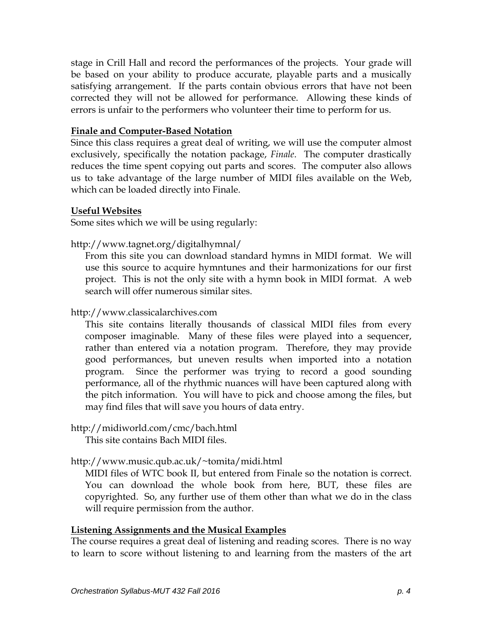stage in Crill Hall and record the performances of the projects. Your grade will be based on your ability to produce accurate, playable parts and a musically satisfying arrangement. If the parts contain obvious errors that have not been corrected they will not be allowed for performance. Allowing these kinds of errors is unfair to the performers who volunteer their time to perform for us.

#### **Finale and Computer-Based Notation**

Since this class requires a great deal of writing, we will use the computer almost exclusively, specifically the notation package, *Finale*. The computer drastically reduces the time spent copying out parts and scores. The computer also allows us to take advantage of the large number of MIDI files available on the Web, which can be loaded directly into Finale.

#### **Useful Websites**

Some sites which we will be using regularly:

http://www.tagnet.org/digitalhymnal/

From this site you can download standard hymns in MIDI format. We will use this source to acquire hymntunes and their harmonizations for our first project. This is not the only site with a hymn book in MIDI format. A web search will offer numerous similar sites.

[http://www.c](http://www.prs.net/midi.html)lassicalarchives.com

This site contains literally thousands of classical MIDI files from every composer imaginable. Many of these files were played into a sequencer, rather than entered via a notation program. Therefore, they may provide good performances, but uneven results when imported into a notation program. Since the performer was trying to record a good sounding performance, all of the rhythmic nuances will have been captured along with the pitch information. You will have to pick and choose among the files, but may find files that will save you hours of data entry.

# <http://midiworld.com/cmc/bach.html>

This site contains Bach MIDI files.

# [http://www.music.qub.ac.uk/~tomita/midi.html](http://www.music.qub.ac.uk/%7Etomita/midi.html)

MIDI files of WTC book II, but entered from Finale so the notation is correct. You can download the whole book from here, BUT, these files are copyrighted. So, any further use of them other than what we do in the class will require permission from the author.

# **Listening Assignments and the Musical Examples**

The course requires a great deal of listening and reading scores. There is no way to learn to score without listening to and learning from the masters of the art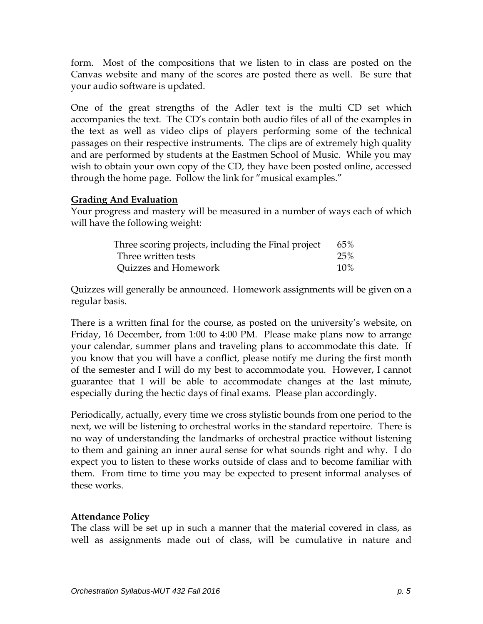form. Most of the compositions that we listen to in class are posted on the Canvas website and many of the scores are posted there as well. Be sure that your audio software is updated.

One of the great strengths of the Adler text is the multi CD set which accompanies the text. The CD's contain both audio files of all of the examples in the text as well as video clips of players performing some of the technical passages on their respective instruments. The clips are of extremely high quality and are performed by students at the Eastmen School of Music. While you may wish to obtain your own copy of the CD, they have been posted online, accessed through the home page. Follow the link for "musical examples."

#### **Grading And Evaluation**

Your progress and mastery will be measured in a number of ways each of which will have the following weight:

| Three scoring projects, including the Final project | 65%    |
|-----------------------------------------------------|--------|
| Three written tests                                 | 25%    |
| Quizzes and Homework                                | $10\%$ |

Quizzes will generally be announced. Homework assignments will be given on a regular basis.

There is a written final for the course, as posted on the university's website, on Friday, 16 December, from 1:00 to 4:00 PM. Please make plans now to arrange your calendar, summer plans and traveling plans to accommodate this date. If you know that you will have a conflict, please notify me during the first month of the semester and I will do my best to accommodate you. However, I cannot guarantee that I will be able to accommodate changes at the last minute, especially during the hectic days of final exams. Please plan accordingly.

Periodically, actually, every time we cross stylistic bounds from one period to the next, we will be listening to orchestral works in the standard repertoire. There is no way of understanding the landmarks of orchestral practice without listening to them and gaining an inner aural sense for what sounds right and why. I do expect you to listen to these works outside of class and to become familiar with them. From time to time you may be expected to present informal analyses of these works.

# **Attendance Policy**

The class will be set up in such a manner that the material covered in class, as well as assignments made out of class, will be cumulative in nature and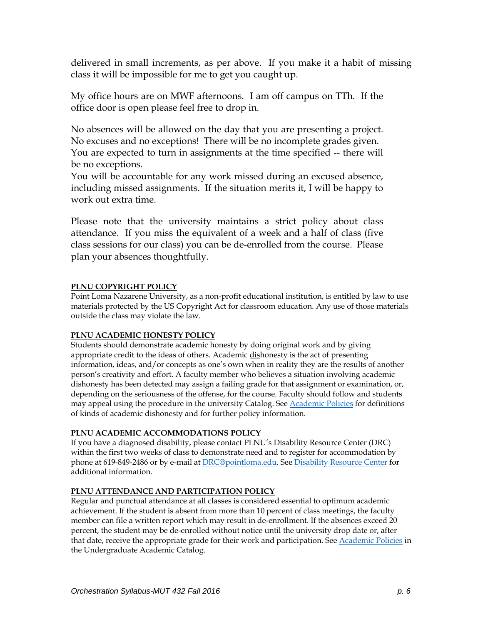delivered in small increments, as per above. If you make it a habit of missing class it will be impossible for me to get you caught up.

My office hours are on MWF afternoons. I am off campus on TTh. If the office door is open please feel free to drop in.

No absences will be allowed on the day that you are presenting a project. No excuses and no exceptions! There will be no incomplete grades given. You are expected to turn in assignments at the time specified -- there will be no exceptions.

You will be accountable for any work missed during an excused absence, including missed assignments. If the situation merits it, I will be happy to work out extra time.

Please note that the university maintains a strict policy about class attendance. If you miss the equivalent of a week and a half of class (five class sessions for our class) you can be de-enrolled from the course. Please plan your absences thoughtfully.

#### **PLNU COPYRIGHT POLICY**

Point Loma Nazarene University, as a non-profit educational institution, is entitled by law to use materials protected by the US Copyright Act for classroom education. Any use of those materials outside the class may violate the law.

#### **PLNU ACADEMIC HONESTY POLICY**

Students should demonstrate academic honesty by doing original work and by giving appropriate credit to the ideas of others. Academic dishonesty is the act of presenting information, ideas, and/or concepts as one's own when in reality they are the results of another person's creativity and effort. A faculty member who believes a situation involving academic dishonesty has been detected may assign a failing grade for that assignment or examination, or, depending on the seriousness of the offense, for the course. Faculty should follow and students may appeal using the procedure in the university Catalog. See [Academic Policies](http://catalog.pointloma.edu/content.php?catoid=18&navoid=1278) for definitions of kinds of academic dishonesty and for further policy information.

#### **PLNU ACADEMIC ACCOMMODATIONS POLICY**

If you have a diagnosed disability, please contact PLNU's Disability Resource Center (DRC) within the first two weeks of class to demonstrate need and to register for accommodation by phone at 619-849-2486 or by e-mail at [DRC@pointloma.edu.](mailto:DRC@pointloma.edu) See [Disability Resource Center](http://www.pointloma.edu/experience/offices/administrative-offices/academic-advising-office/disability-resource-center) for additional information.

#### **PLNU ATTENDANCE AND PARTICIPATION POLICY**

Regular and punctual attendance at all classes is considered essential to optimum academic achievement. If the student is absent from more than 10 percent of class meetings, the faculty member can file a written report which may result in de-enrollment. If the absences exceed 20 percent, the student may be de-enrolled without notice until the university drop date or, after that date, receive the appropriate grade for their work and participation. See [Academic Policies](http://catalog.pointloma.edu/content.php?catoid=18&navoid=1278) in the Undergraduate Academic Catalog.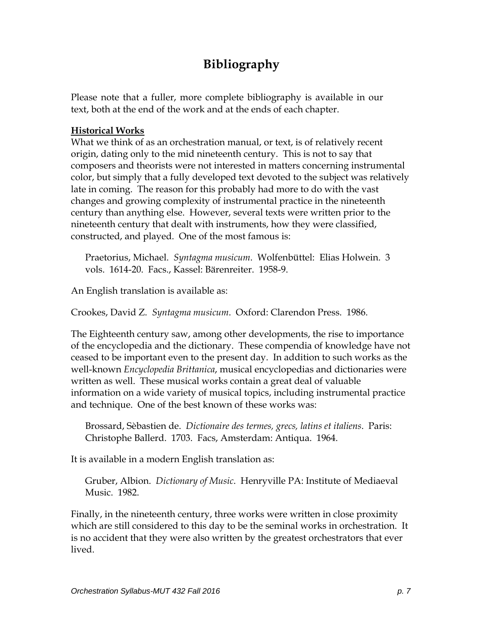# **Bibliography**

Please note that a fuller, more complete bibliography is available in our text, both at the end of the work and at the ends of each chapter.

#### **Historical Works**

What we think of as an orchestration manual, or text, is of relatively recent origin, dating only to the mid nineteenth century. This is not to say that composers and theorists were not interested in matters concerning instrumental color, but simply that a fully developed text devoted to the subject was relatively late in coming. The reason for this probably had more to do with the vast changes and growing complexity of instrumental practice in the nineteenth century than anything else. However, several texts were written prior to the nineteenth century that dealt with instruments, how they were classified, constructed, and played. One of the most famous is:

Praetorius, Michael. *Syntagma musicum*. Wolfenbüttel: Elias Holwein. 3 vols. 1614-20. Facs., Kassel: Bärenreiter. 1958-9.

An English translation is available as:

Crookes, David Z. *Syntagma musicum*. Oxford: Clarendon Press. 1986.

The Eighteenth century saw, among other developments, the rise to importance of the encyclopedia and the dictionary. These compendia of knowledge have not ceased to be important even to the present day. In addition to such works as the well-known *Encyclopedia Brittanica*, musical encyclopedias and dictionaries were written as well. These musical works contain a great deal of valuable information on a wide variety of musical topics, including instrumental practice and technique. One of the best known of these works was:

Brossard, Sèbastien de. *Dictionaire des termes, grecs, latins et italiens*. Paris: Christophe Ballerd. 1703. Facs, Amsterdam: Antiqua. 1964.

It is available in a modern English translation as:

Gruber, Albion. *Dictionary of Music*. Henryville PA: Institute of Mediaeval Music. 1982.

Finally, in the nineteenth century, three works were written in close proximity which are still considered to this day to be the seminal works in orchestration. It is no accident that they were also written by the greatest orchestrators that ever lived.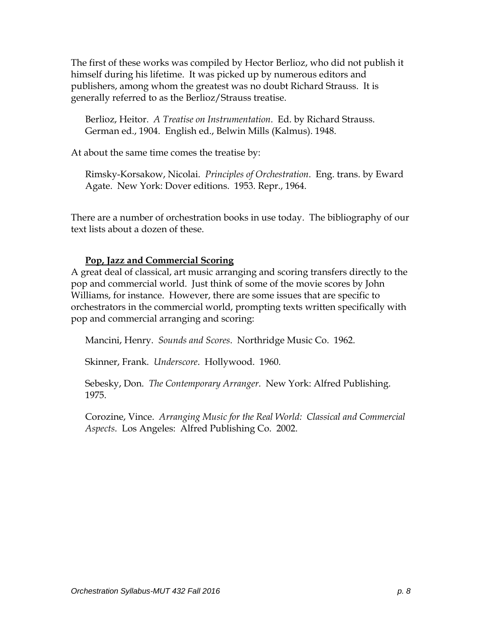The first of these works was compiled by Hector Berlioz, who did not publish it himself during his lifetime. It was picked up by numerous editors and publishers, among whom the greatest was no doubt Richard Strauss. It is generally referred to as the Berlioz/Strauss treatise.

Berlioz, Heitor. *A Treatise on Instrumentation*. Ed. by Richard Strauss. German ed., 1904. English ed., Belwin Mills (Kalmus). 1948.

At about the same time comes the treatise by:

Rimsky-Korsakow, Nicolai. *Principles of Orchestration*. Eng. trans. by Eward Agate. New York: Dover editions. 1953. Repr., 1964.

There are a number of orchestration books in use today. The bibliography of our text lists about a dozen of these.

# **Pop, Jazz and Commercial Scoring**

A great deal of classical, art music arranging and scoring transfers directly to the pop and commercial world. Just think of some of the movie scores by John Williams, for instance. However, there are some issues that are specific to orchestrators in the commercial world, prompting texts written specifically with pop and commercial arranging and scoring:

Mancini, Henry. *Sounds and Scores*. Northridge Music Co. 1962.

Skinner, Frank. *Underscore*. Hollywood. 1960.

Sebesky, Don. *The Contemporary Arranger*. New York: Alfred Publishing. 1975.

Corozine, Vince. *Arranging Music for the Real World: Classical and Commercial Aspects*. Los Angeles: Alfred Publishing Co. 2002.